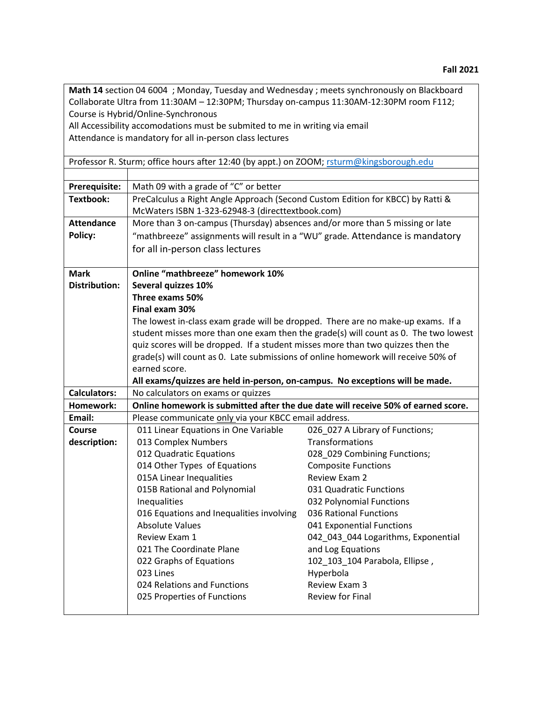| Math 14 section 04 6004 ; Monday, Tuesday and Wednesday ; meets synchronously on Blackboard |                                                                                                                                    |                                     |  |
|---------------------------------------------------------------------------------------------|------------------------------------------------------------------------------------------------------------------------------------|-------------------------------------|--|
|                                                                                             | Collaborate Ultra from 11:30AM - 12:30PM; Thursday on-campus 11:30AM-12:30PM room F112;                                            |                                     |  |
|                                                                                             | Course is Hybrid/Online-Synchronous                                                                                                |                                     |  |
|                                                                                             | All Accessibility accomodations must be submited to me in writing via email                                                        |                                     |  |
|                                                                                             | Attendance is mandatory for all in-person class lectures                                                                           |                                     |  |
|                                                                                             |                                                                                                                                    |                                     |  |
|                                                                                             | Professor R. Sturm; office hours after 12:40 (by appt.) on ZOOM; rsturm@kingsborough.edu                                           |                                     |  |
|                                                                                             |                                                                                                                                    |                                     |  |
| Prerequisite:                                                                               | Math 09 with a grade of "C" or better                                                                                              |                                     |  |
| <b>Textbook:</b>                                                                            | PreCalculus a Right Angle Approach (Second Custom Edition for KBCC) by Ratti &<br>McWaters ISBN 1-323-62948-3 (directtextbook.com) |                                     |  |
|                                                                                             |                                                                                                                                    |                                     |  |
| <b>Attendance</b>                                                                           | More than 3 on-campus (Thursday) absences and/or more than 5 missing or late                                                       |                                     |  |
| Policy:                                                                                     | "mathbreeze" assignments will result in a "WU" grade. Attendance is mandatory                                                      |                                     |  |
|                                                                                             | for all in-person class lectures                                                                                                   |                                     |  |
|                                                                                             |                                                                                                                                    |                                     |  |
| <b>Mark</b>                                                                                 | <b>Online "mathbreeze" homework 10%</b>                                                                                            |                                     |  |
| <b>Distribution:</b>                                                                        | Several quizzes 10%<br>Three exams 50%                                                                                             |                                     |  |
|                                                                                             |                                                                                                                                    |                                     |  |
|                                                                                             | Final exam 30%                                                                                                                     |                                     |  |
|                                                                                             | The lowest in-class exam grade will be dropped. There are no make-up exams. If a                                                   |                                     |  |
|                                                                                             | student misses more than one exam then the grade(s) will count as 0. The two lowest                                                |                                     |  |
|                                                                                             | quiz scores will be dropped. If a student misses more than two quizzes then the                                                    |                                     |  |
|                                                                                             | grade(s) will count as 0. Late submissions of online homework will receive 50% of                                                  |                                     |  |
|                                                                                             | earned score.                                                                                                                      |                                     |  |
|                                                                                             | All exams/quizzes are held in-person, on-campus. No exceptions will be made.                                                       |                                     |  |
| <b>Calculators:</b>                                                                         | No calculators on exams or quizzes                                                                                                 |                                     |  |
| Homework:                                                                                   | Online homework is submitted after the due date will receive 50% of earned score.                                                  |                                     |  |
| Email:                                                                                      | Please communicate only via your KBCC email address.                                                                               |                                     |  |
| <b>Course</b>                                                                               | 011 Linear Equations in One Variable                                                                                               | 026 027 A Library of Functions;     |  |
| description:                                                                                | 013 Complex Numbers                                                                                                                | Transformations                     |  |
|                                                                                             | 012 Quadratic Equations                                                                                                            | 028_029 Combining Functions;        |  |
|                                                                                             | 014 Other Types of Equations                                                                                                       | <b>Composite Functions</b>          |  |
|                                                                                             | 015A Linear Inequalities                                                                                                           | Review Exam 2                       |  |
|                                                                                             | 015B Rational and Polynomial                                                                                                       | 031 Quadratic Functions             |  |
|                                                                                             | Inequalities                                                                                                                       | 032 Polynomial Functions            |  |
|                                                                                             | 016 Equations and Inequalities involving                                                                                           | 036 Rational Functions              |  |
|                                                                                             | <b>Absolute Values</b>                                                                                                             | 041 Exponential Functions           |  |
|                                                                                             | Review Exam 1                                                                                                                      | 042_043_044 Logarithms, Exponential |  |
|                                                                                             | 021 The Coordinate Plane                                                                                                           | and Log Equations                   |  |
|                                                                                             | 022 Graphs of Equations                                                                                                            | 102_103_104 Parabola, Ellipse,      |  |
|                                                                                             | 023 Lines                                                                                                                          | Hyperbola                           |  |
|                                                                                             | 024 Relations and Functions                                                                                                        | Review Exam 3                       |  |
|                                                                                             | 025 Properties of Functions                                                                                                        | Review for Final                    |  |